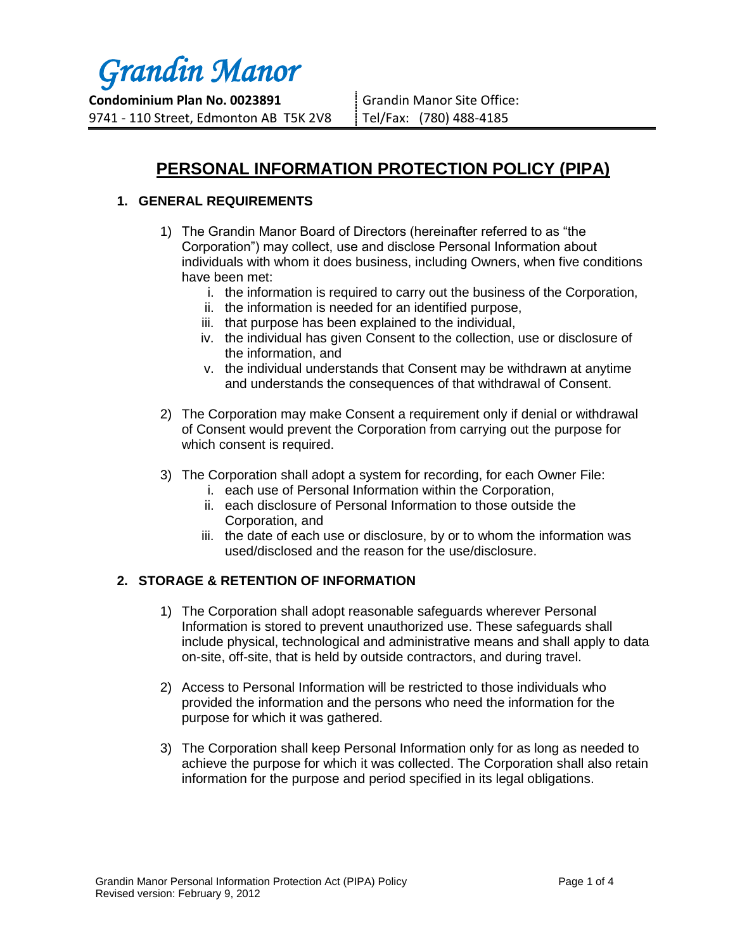# *Grandin Manor*

**Condominium Plan No. 0023891** 9741 - 110 Street, Edmonton AB T5K 2V8 Grandin Manor Site Office: Tel/Fax: (780) 488-4185

# **PERSONAL INFORMATION PROTECTION POLICY (PIPA)**

# **1. GENERAL REQUIREMENTS**

- 1) The Grandin Manor Board of Directors (hereinafter referred to as "the Corporation") may collect, use and disclose Personal Information about individuals with whom it does business, including Owners, when five conditions have been met:
	- i. the information is required to carry out the business of the Corporation,
	- ii. the information is needed for an identified purpose,
	- iii. that purpose has been explained to the individual,
	- iv. the individual has given Consent to the collection, use or disclosure of the information, and
	- v. the individual understands that Consent may be withdrawn at anytime and understands the consequences of that withdrawal of Consent.
- 2) The Corporation may make Consent a requirement only if denial or withdrawal of Consent would prevent the Corporation from carrying out the purpose for which consent is required.
- 3) The Corporation shall adopt a system for recording, for each Owner File:
	- i. each use of Personal Information within the Corporation,
	- ii. each disclosure of Personal Information to those outside the Corporation, and
	- iii. the date of each use or disclosure, by or to whom the information was used/disclosed and the reason for the use/disclosure.

# **2. STORAGE & RETENTION OF INFORMATION**

- 1) The Corporation shall adopt reasonable safeguards wherever Personal Information is stored to prevent unauthorized use. These safeguards shall include physical, technological and administrative means and shall apply to data on-site, off-site, that is held by outside contractors, and during travel.
- 2) Access to Personal Information will be restricted to those individuals who provided the information and the persons who need the information for the purpose for which it was gathered.
- 3) The Corporation shall keep Personal Information only for as long as needed to achieve the purpose for which it was collected. The Corporation shall also retain information for the purpose and period specified in its legal obligations.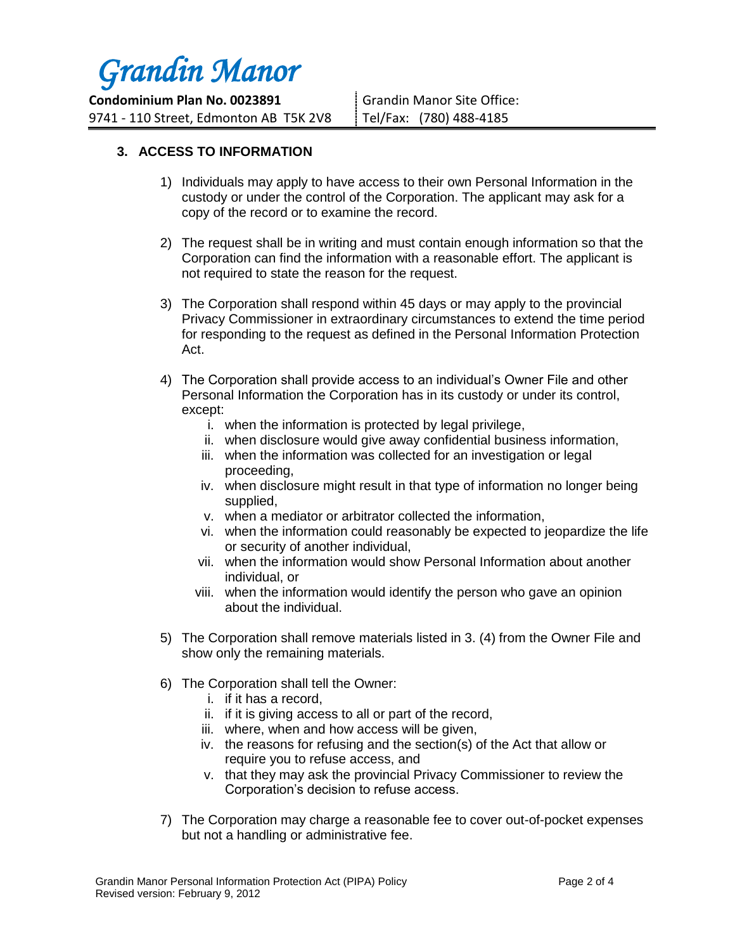

**Condominium Plan No. 0023891** 9741 - 110 Street, Edmonton AB T5K 2V8 Grandin Manor Site Office: Tel/Fax: (780) 488-4185

# **3. ACCESS TO INFORMATION**

- 1) Individuals may apply to have access to their own Personal Information in the custody or under the control of the Corporation. The applicant may ask for a copy of the record or to examine the record.
- 2) The request shall be in writing and must contain enough information so that the Corporation can find the information with a reasonable effort. The applicant is not required to state the reason for the request.
- 3) The Corporation shall respond within 45 days or may apply to the provincial Privacy Commissioner in extraordinary circumstances to extend the time period for responding to the request as defined in the Personal Information Protection Act.
- 4) The Corporation shall provide access to an individual's Owner File and other Personal Information the Corporation has in its custody or under its control, except:
	- i. when the information is protected by legal privilege,
	- ii. when disclosure would give away confidential business information,
	- iii. when the information was collected for an investigation or legal proceeding,
	- iv. when disclosure might result in that type of information no longer being supplied,
	- v. when a mediator or arbitrator collected the information,
	- vi. when the information could reasonably be expected to jeopardize the life or security of another individual,
	- vii. when the information would show Personal Information about another individual, or
	- viii. when the information would identify the person who gave an opinion about the individual.
- 5) The Corporation shall remove materials listed in 3. (4) from the Owner File and show only the remaining materials.
- 6) The Corporation shall tell the Owner:
	- i. if it has a record,
	- ii. if it is giving access to all or part of the record,
	- iii. where, when and how access will be given,
	- iv. the reasons for refusing and the section(s) of the Act that allow or require you to refuse access, and
	- v. that they may ask the provincial Privacy Commissioner to review the Corporation's decision to refuse access.
- 7) The Corporation may charge a reasonable fee to cover out-of-pocket expenses but not a handling or administrative fee.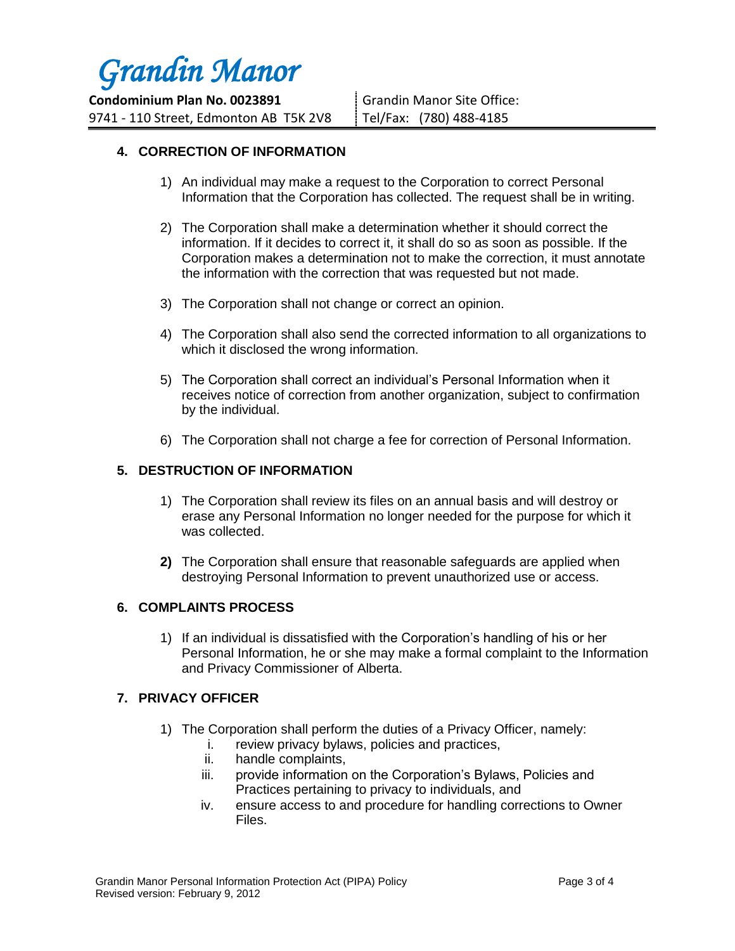

**Condominium Plan No. 0023891** 9741 - 110 Street, Edmonton AB T5K 2V8 Grandin Manor Site Office: Tel/Fax: (780) 488-4185

# **4. CORRECTION OF INFORMATION**

- 1) An individual may make a request to the Corporation to correct Personal Information that the Corporation has collected. The request shall be in writing.
- 2) The Corporation shall make a determination whether it should correct the information. If it decides to correct it, it shall do so as soon as possible. If the Corporation makes a determination not to make the correction, it must annotate the information with the correction that was requested but not made.
- 3) The Corporation shall not change or correct an opinion.
- 4) The Corporation shall also send the corrected information to all organizations to which it disclosed the wrong information.
- 5) The Corporation shall correct an individual's Personal Information when it receives notice of correction from another organization, subject to confirmation by the individual.
- 6) The Corporation shall not charge a fee for correction of Personal Information.

# **5. DESTRUCTION OF INFORMATION**

- 1) The Corporation shall review its files on an annual basis and will destroy or erase any Personal Information no longer needed for the purpose for which it was collected.
- **2)** The Corporation shall ensure that reasonable safeguards are applied when destroying Personal Information to prevent unauthorized use or access.

#### **6. COMPLAINTS PROCESS**

1) If an individual is dissatisfied with the Corporation's handling of his or her Personal Information, he or she may make a formal complaint to the Information and Privacy Commissioner of Alberta.

#### **7. PRIVACY OFFICER**

- 1) The Corporation shall perform the duties of a Privacy Officer, namely:
	- i. review privacy bylaws, policies and practices,
	- ii. handle complaints,
	- iii. provide information on the Corporation's Bylaws, Policies and Practices pertaining to privacy to individuals, and
	- iv. ensure access to and procedure for handling corrections to Owner Files.